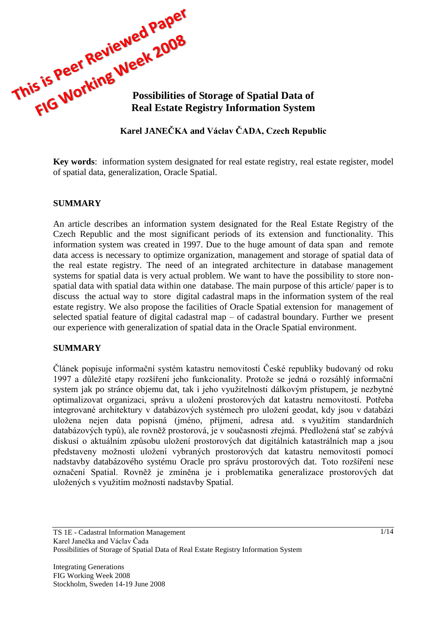

# **Karel JANEČKA and Václav ČADA, Czech Republic**

**Key words**: information system designated for real estate registry, real estate register, model of spatial data, generalization, Oracle Spatial.

#### **SUMMARY**

An article describes an information system designated for the Real Estate Registry of the Czech Republic and the most significant periods of its extension and functionality. This information system was created in 1997. Due to the huge amount of data span and remote data access is necessary to optimize organization, management and storage of spatial data of the real estate registry. The need of an integrated architecture in database management systems for spatial data is very actual problem. We want to have the possibility to store nonspatial data with spatial data within one database. The main purpose of this article/ paper is to discuss the actual way to store digital cadastral maps in the information system of the real estate registry. We also propose the facilities of Oracle Spatial extension for management of selected spatial feature of digital cadastral map – of cadastral boundary. Further we present our experience with generalization of spatial data in the Oracle Spatial environment.

#### **SUMMARY**

Článek popisuje informační systém katastru nemovitostí České republiky budovaný od roku 1997 a důležité etapy rozšíření jeho funkcionality. Protože se jedná o rozsáhlý informační system jak po stránce objemu dat, tak i jeho využitelnosti dálkovým přístupem, je nezbytné optimalizovat organizaci, správu a uložení prostorových dat katastru nemovitostí. Potřeba integrované architektury v databázových systémech pro uložení geodat, kdy jsou v databázi uložena nejen data popisná (jméno, příjmení, adresa atd. s využitím standardních databázových typů), ale rovněž prostorová, je v současnosti zřejmá. Předložená stať se zabývá diskusí o aktuálním způsobu uložení prostorových dat digitálních katastrálních map a jsou představeny možnosti uložení vybraných prostorových dat katastru nemovitostí pomocí nadstavby databázového systému Oracle pro správu prostorových dat. Toto rozšíření nese označení Spatial. Rovněž je zmíněna je i problematika generalizace prostorových dat uložených s využitím možností nadstavby Spatial.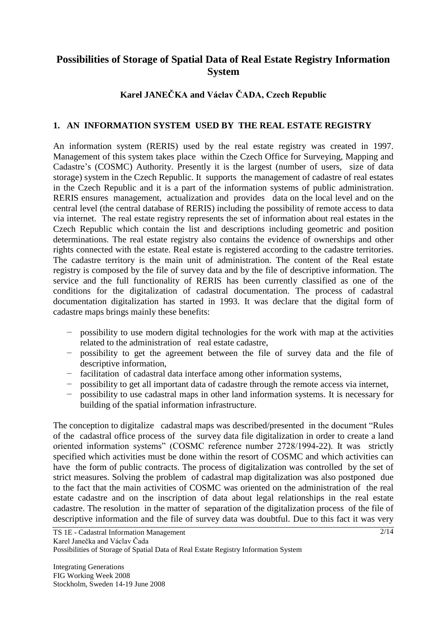# **Possibilities of Storage of Spatial Data of Real Estate Registry Information System**

# **Karel JANEČKA and Václav ČADA, Czech Republic**

### **1. AN INFORMATION SYSTEM USED BY THE REAL ESTATE REGISTRY**

An information system (RERIS) used by the real estate registry was created in 1997. Management of this system takes place within the Czech Office for Surveying, Mapping and Cadastre's (COSMC) Authority. Presently it is the largest (number of users, size of data storage) system in the Czech Republic. It supports the management of cadastre of real estates in the Czech Republic and it is a part of the information systems of public administration. RERIS ensures management, actualization and provides data on the local level and on the central level (the central database of RERIS) including the possibility of remote access to data via internet. The real estate registry represents the set of information about real estates in the Czech Republic which contain the list and descriptions including geometric and position determinations. The real estate registry also contains the evidence of ownerships and other rights connected with the estate. Real estate is registered according to the cadastre territories. The cadastre territory is the main unit of administration. The content of the Real estate registry is composed by the file of survey data and by the file of descriptive information. The service and the full functionality of RERIS has been currently classified as one of the conditions for the digitalization of cadastral documentation. The process of cadastral documentation digitalization has started in 1993. It was declare that the digital form of cadastre maps brings mainly these benefits:

- − possibility to use modern digital technologies for the work with map at the activities related to the administration of real estate cadastre,
- − possibility to get the agreement between the file of survey data and the file of descriptive information,
- − facilitation of cadastral data interface among other information systems,
- − possibility to get all important data of cadastre through the remote access via internet,
- − possibility to use cadastral maps in other land information systems. It is necessary for building of the spatial information infrastructure.

The conception to digitalize cadastral maps was described/presented in the document "Rules of the cadastral office process of the survey data file digitalization in order to create a land oriented information systems" (COSMC reference number 2728/1994-22). It was strictly specified which activities must be done within the resort of COSMC and which activities can have the form of public contracts. The process of digitalization was controlled by the set of strict measures. Solving the problem of cadastral map digitalization was also postponed due to the fact that the main activities of COSMC was oriented on the administration of the real estate cadastre and on the inscription of data about legal relationships in the real estate cadastre. The resolution in the matter of separation of the digitalization process of the file of descriptive information and the file of survey data was doubtful. Due to this fact it was very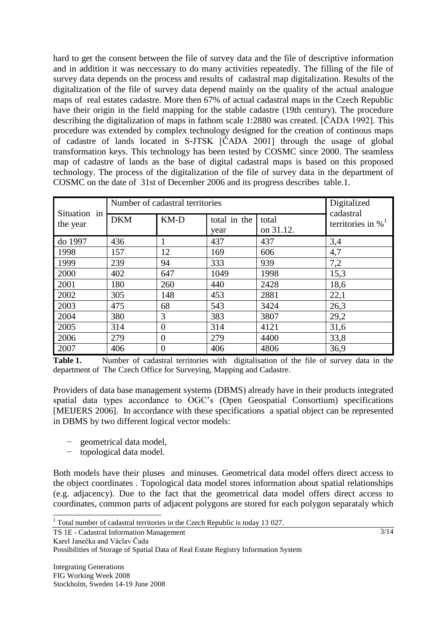hard to get the consent between the file of survey data and the file of descriptive information and in addition it was neccessary to do many activities repeatedly. The filling of the file of survey data depends on the process and results of cadastral map digitalization. Results of the digitalization of the file of survey data depend mainly on the quality of the actual analogue maps of real estates cadastre. More then 67% of actual cadastral maps in the Czech Republic have their origin in the field mapping for the stable cadastre (19th century). The procedure describing the digitalization of maps in fathom scale 1:2880 was created. [ČADA 1992]. This procedure was extended by complex technology designed for the creation of continous maps of cadastre of lands located in S-JTSK [ČADA 2001] through the usage of global transformation keys. This technology has been tested by COSMC since 2000. The seamless map of cadastre of lands as the base of digital cadastral maps is based on this proposed technology. The process of the digitalization of the file of survey data in the department of COSMC on the date of 31st of December 2006 and its progress describes table.1.

| Situation in<br>the year | Number of cadastral territories |                |                      |                    | Digitalized                      |
|--------------------------|---------------------------------|----------------|----------------------|--------------------|----------------------------------|
|                          | <b>DKM</b>                      | $KM-D$         | total in the<br>year | total<br>on 31.12. | cadastral<br>territories in $\%$ |
| do 1997                  | 436                             |                | 437                  | 437                | 3,4                              |
| 1998                     | 157                             | 12             | 169                  | 606                | 4,7                              |
| 1999                     | 239                             | 94             | 333                  | 939                | 7,2                              |
| 2000                     | 402                             | 647            | 1049                 | 1998               | 15,3                             |
| 2001                     | 180                             | 260            | 440                  | 2428               | 18,6                             |
| 2002                     | 305                             | 148            | 453                  | 2881               | 22,1                             |
| 2003                     | 475                             | 68             | 543                  | 3424               | 26,3                             |
| 2004                     | 380                             | 3              | 383                  | 3807               | 29,2                             |
| 2005                     | 314                             | $\overline{0}$ | 314                  | 4121               | 31,6                             |
| 2006                     | 279                             | $\overline{0}$ | 279                  | 4400               | 33,8                             |
| 2007                     | 406                             | $\overline{0}$ | 406                  | 4806               | 36,9                             |

**Table 1.** Number of cadastral territories with digitalisation of the file of survey data in the department of The Czech Office for Surveying, Mapping and Cadastre.

Providers of data base management systems (DBMS) already have in their products integrated spatial data types accordance to OGC's (Open Geospatial Consortium) specifications [MEIJERS 2006]. In accordance with these specifications a spatial object can be represented in DBMS by two different logical vector models:

- − geometrical data model,
- − topological data model.

Both models have their pluses and minuses. Geometrical data model offers direct access to the object coordinates . Topological data model stores information about spatial relationships (e.g. adjacency). Due to the fact that the geometrical data model offers direct access to coordinates, common parts of adjacent polygons are stored for each polygon separataly which

TS 1E - Cadastral Information Management Karel Janečka and Václav Čada Possibilities of Storage of Spatial Data of Real Estate Registry Information System

 $\overline{\phantom{a}}$ 

<sup>&</sup>lt;sup>1</sup> Total number of cadastral territories in the Czech Republic is today 13 027.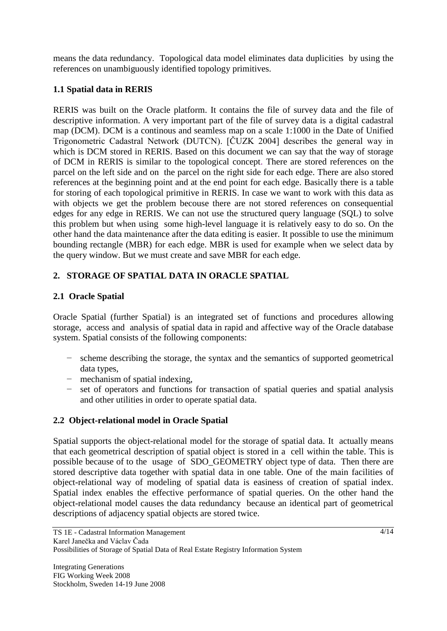means the data redundancy. Topological data model eliminates data duplicities by using the references on unambiguously identified topology primitives.

# **1.1 Spatial data in RERIS**

RERIS was built on the Oracle platform. It contains the file of survey data and the file of descriptive information. A very important part of the file of survey data is a digital cadastral map (DCM). DCM is a continous and seamless map on a scale 1:1000 in the Date of Unified Trigonometric Cadastral Network (DUTCN). [ČUZK 2004] describes the general way in which is DCM stored in RERIS. Based on this document we can say that the way of storage of DCM in RERIS is similar to the topological concept. There are stored references on the parcel on the left side and on the parcel on the right side for each edge. There are also stored references at the beginning point and at the end point for each edge. Basically there is a table for storing of each topological primitive in RERIS. In case we want to work with this data as with objects we get the problem becouse there are not stored references on consequential edges for any edge in RERIS. We can not use the structured query language (SQL) to solve this problem but when using some high-level language it is relatively easy to do so. On the other hand the data maintenance after the data editing is easier. It possible to use the minimum bounding rectangle (MBR) for each edge. MBR is used for example when we select data by the query window. But we must create and save MBR for each edge.

## **2. STORAGE OF SPATIAL DATA IN ORACLE SPATIAL**

## **2.1 Oracle Spatial**

Oracle Spatial (further Spatial) is an integrated set of functions and procedures allowing storage, access and analysis of spatial data in rapid and affective way of the Oracle database system. Spatial consists of the following components:

- − scheme describing the storage, the syntax and the semantics of supported geometrical data types,
- − mechanism of spatial indexing,
- − set of operators and functions for transaction of spatial queries and spatial analysis and other utilities in order to operate spatial data.

## **2.2 Object-relational model in Oracle Spatial**

Spatial supports the object-relational model for the storage of spatial data. It actually means that each geometrical description of spatial object is stored in a cell within the table. This is possible because of to the usage of SDO\_GEOMETRY object type of data. Then there are stored descriptive data together with spatial data in one table. One of the main facilities of object-relational way of modeling of spatial data is easiness of creation of spatial index. Spatial index enables the effective performance of spatial queries. On the other hand the object-relational model causes the data redundancy because an identical part of geometrical descriptions of adjacency spatial objects are stored twice.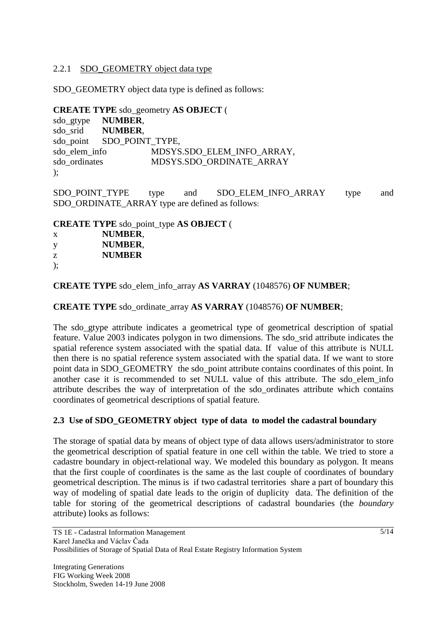### 2.2.1 SDO GEOMETRY object data type

SDO\_GEOMETRY object data type is defined as follows:

**CREATE TYPE** sdo\_geometry **AS OBJECT** ( sdo\_gtype **NUMBER**, sdo\_srid **NUMBER**, sdo\_point SDO\_POINT\_TYPE, sdo\_elem\_info MDSYS.SDO\_ELEM\_INFO\_ARRAY,<br>sdo\_ordinates MDSYS.SDO\_ORDINATE\_ARRAY MDSYS.SDO\_ORDINATE\_ARRAY );

SDO\_POINT\_TYPE type and SDO\_ELEM\_INFO\_ARRAY type and SDO\_ORDINATE\_ARRAY type are defined as follows:

**CREATE TYPE** sdo\_point\_type **AS OBJECT** (

| X  | <b>NUMBER,</b> |
|----|----------------|
| y  | <b>NUMBER,</b> |
| Z. | <b>NUMBER</b>  |
| ); |                |

**CREATE TYPE** sdo\_elem\_info\_array **AS VARRAY** (1048576) **OF NUMBER**;

**CREATE TYPE** sdo\_ordinate\_array **AS VARRAY** (1048576) **OF NUMBER**;

The sdo\_gtype attribute indicates a geometrical type of geometrical description of spatial feature. Value 2003 indicates polygon in two dimensions. The sdo\_srid attribute indicates the spatial reference system associated with the spatial data. If value of this attribute is NULL then there is no spatial reference system associated with the spatial data. If we want to store point data in SDO\_GEOMETRY the sdo\_point attribute contains coordinates of this point. In another case it is recommended to set NULL value of this attribute. The sdo\_elem\_info attribute describes the way of interpretation of the sdo\_ordinates attribute which contains coordinates of geometrical descriptions of spatial feature.

## **2.3 Use of SDO\_GEOMETRY object type of data to model the cadastral boundary**

The storage of spatial data by means of object type of data allows users/administrator to store the geometrical description of spatial feature in one cell within the table. We tried to store a cadastre boundary in object-relational way. We modeled this boundary as polygon. It means that the first couple of coordinates is the same as the last couple of coordinates of boundary geometrical description. The minus is if two cadastral territories share a part of boundary this way of modeling of spatial date leads to the origin of duplicity data. The definition of the table for storing of the geometrical descriptions of cadastral boundaries (the *boundary* attribute) looks as follows: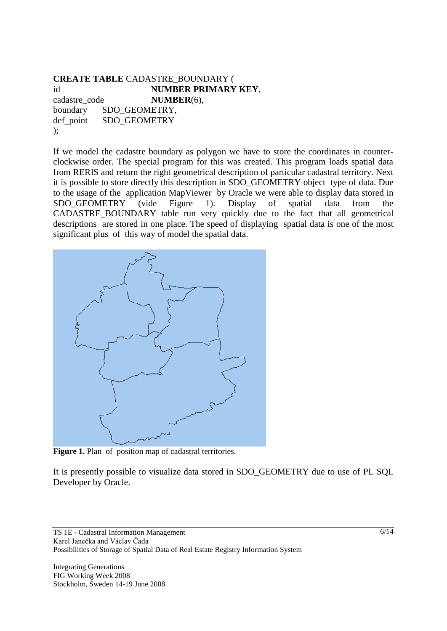#### **CREATE TABLE** CADASTRE\_BOUNDARY ( id **NUMBER PRIMARY KEY**, cadastre\_code **NUMBER**(6), boundary SDO\_GEOMETRY, def point SDO\_GEOMETRY );

If we model the cadastre boundary as polygon we have to store the coordinates in counterclockwise order. The special program for this was created. This program loads spatial data from RERIS and return the right geometrical description of particular cadastral territory. Next it is possible to store directly this description in SDO\_GEOMETRY object type of data. Due to the usage of the application MapViewer by Oracle we were able to display data stored in SDO GEOMETRY (vide Figure 1). Display of spatial data from the CADASTRE\_BOUNDARY table run very quickly due to the fact that all geometrical descriptions are stored in one place. The speed of displaying spatial data is one of the most significant plus of this way of model the spatial data.



Figure 1. Plan of position map of cadastral territories.

It is presently possible to visualize data stored in SDO\_GEOMETRY due to use of PL SQL Developer by Oracle.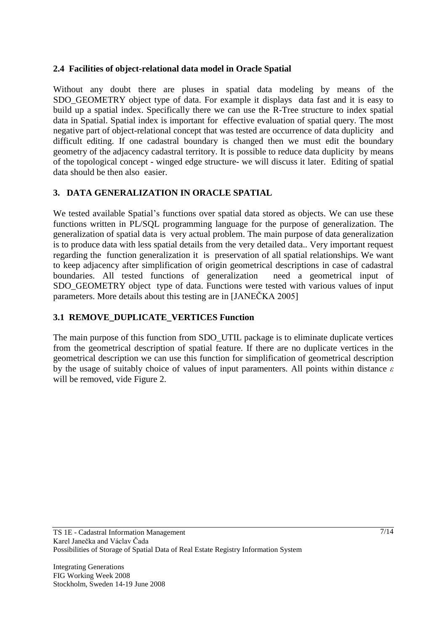### **2.4 Facilities of object-relational data model in Oracle Spatial**

Without any doubt there are pluses in spatial data modeling by means of the SDO GEOMETRY object type of data. For example it displays data fast and it is easy to build up a spatial index. Specifically there we can use the R-Tree structure to index spatial data in Spatial. Spatial index is important for effective evaluation of spatial query. The most negative part of object-relational concept that was tested are occurrence of data duplicity and difficult editing. If one cadastral boundary is changed then we must edit the boundary geometry of the adjacency cadastral territory. It is possible to reduce data duplicity by means of the topological concept - winged edge structure- we will discuss it later. Editing of spatial data should be then also easier.

# **3. DATA GENERALIZATION IN ORACLE SPATIAL**

We tested available Spatial's functions over spatial data stored as objects. We can use these functions written in PL/SQL programming language for the purpose of generalization. The generalization of spatial data is very actual problem. The main purpose of data generalization is to produce data with less spatial details from the very detailed data.. Very important request regarding the function generalization it is preservation of all spatial relationships. We want to keep adjacency after simplification of origin geometrical descriptions in case of cadastral boundaries. All tested functions of generalization need a geometrical input of SDO\_GEOMETRY object type of data. Functions were tested with various values of input parameters. More details about this testing are in [JANEČKA 2005]

## **3.1 REMOVE\_DUPLICATE\_VERTICES Function**

The main purpose of this function from SDO\_UTIL package is to eliminate duplicate vertices from the geometrical description of spatial feature. If there are no duplicate vertices in the geometrical description we can use this function for simplification of geometrical description by the usage of suitably choice of values of input paramenters. All points within distance *ε* will be removed, vide Figure 2.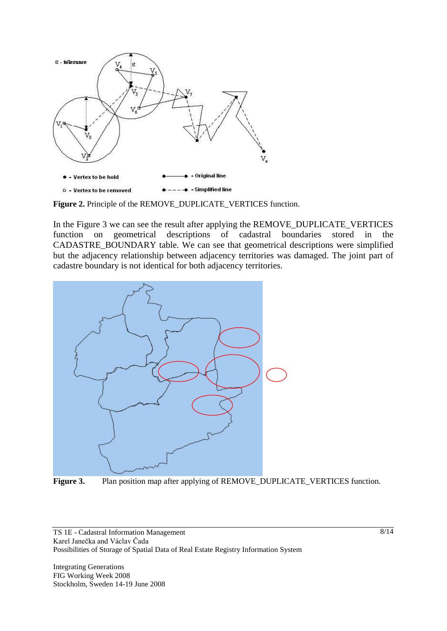

**Figure 2.** Principle of the REMOVE\_DUPLICATE\_VERTICES function.

In the Figure 3 we can see the result after applying the REMOVE\_DUPLICATE\_VERTICES function on geometrical descriptions of cadastral boundaries stored in the CADASTRE\_BOUNDARY table. We can see that geometrical descriptions were simplified but the adjacency relationship between adjacency territories was damaged. The joint part of cadastre boundary is not identical for both adjacency territories.



**Figure 3.** Plan position map after applying of REMOVE\_DUPLICATE\_VERTICES function.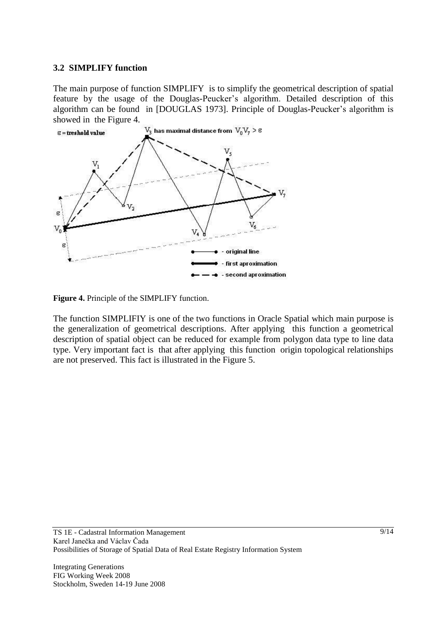#### **3.2 SIMPLIFY function**

The main purpose of function SIMPLIFY is to simplify the geometrical description of spatial feature by the usage of the Douglas-Peucker's algorithm. Detailed description of this algorithm can be found in [DOUGLAS 1973]. Principle of Douglas-Peucker's algorithm is showed in the Figure 4.



**Figure 4.** Principle of the SIMPLIFY function.

The function SIMPLIFIY is one of the two functions in Oracle Spatial which main purpose is the generalization of geometrical descriptions. After applying this function a geometrical description of spatial object can be reduced for example from polygon data type to line data type. Very important fact is that after applying this function origin topological relationships are not preserved. This fact is illustrated in the Figure 5.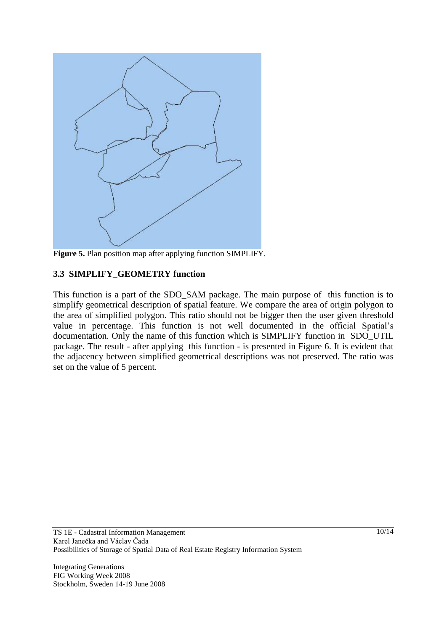

**Figure 5.** Plan position map after applying function SIMPLIFY.

### **3.3 SIMPLIFY\_GEOMETRY function**

This function is a part of the SDO\_SAM package. The main purpose of this function is to simplify geometrical description of spatial feature. We compare the area of origin polygon to the area of simplified polygon. This ratio should not be bigger then the user given threshold value in percentage. This function is not well documented in the official Spatial's documentation. Only the name of this function which is SIMPLIFY function in SDO\_UTIL package. The result - after applying this function - is presented in Figure 6. It is evident that the adjacency between simplified geometrical descriptions was not preserved. The ratio was set on the value of 5 percent.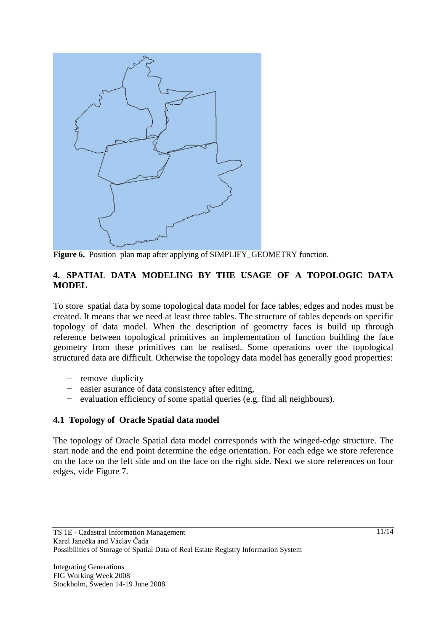

**Figure 6.** Position plan map after applying of SIMPLIFY\_GEOMETRY function.

### **4. SPATIAL DATA MODELING BY THE USAGE OF A TOPOLOGIC DATA MODEL**

To store spatial data by some topological data model for face tables, edges and nodes must be created. It means that we need at least three tables. The structure of tables depends on specific topology of data model. When the description of geometry faces is build up through reference between topological primitives an implementation of function building the face geometry from these primitives can be realised. Some operations over the topological structured data are difficult. Otherwise the topology data model has generally good properties:

- − remove duplicity
- − easier asurance of data consistency after editing,
- − evaluation efficiency of some spatial queries (e.g. find all neighbours).

## **4.1 Topology of Oracle Spatial data model**

The topology of Oracle Spatial data model corresponds with the winged-edge structure. The start node and the end point determine the edge orientation. For each edge we store reference on the face on the left side and on the face on the right side. Next we store references on four edges, vide Figure 7.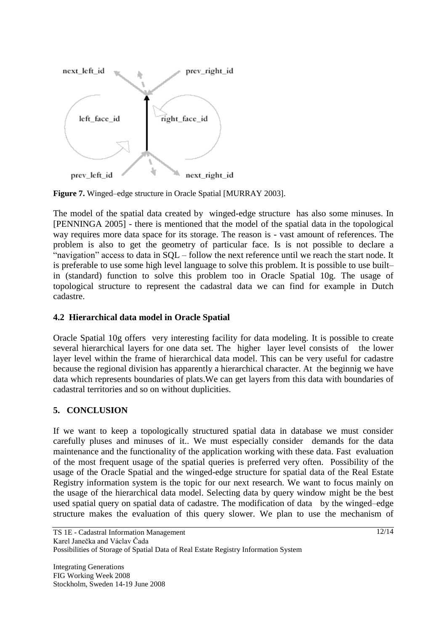

**Figure 7.** Winged–edge structure in Oracle Spatial [MURRAY 2003].

The model of the spatial data created by winged-edge structure has also some minuses. In [PENNINGA 2005] - there is mentioned that the model of the spatial data in the topological way requires more data space for its storage. The reason is - vast amount of references. The problem is also to get the geometry of particular face. Is is not possible to declare a "navigation" access to data in SQL – follow the next reference until we reach the start node. It is preferable to use some high level language to solve this problem. It is possible to use built– in (standard) function to solve this problem too in Oracle Spatial 10g. The usage of topological structure to represent the cadastral data we can find for example in Dutch cadastre.

### **4.2 Hierarchical data model in Oracle Spatial**

Oracle Spatial 10g offers very interesting facility for data modeling. It is possible to create several hierarchical layers for one data set. The higher layer level consists of the lower layer level within the frame of hierarchical data model. This can be very useful for cadastre because the regional division has apparently a hierarchical character. At the beginnig we have data which represents boundaries of plats.We can get layers from this data with boundaries of cadastral territories and so on without duplicities.

### **5. CONCLUSION**

If we want to keep a topologically structured spatial data in database we must consider carefully pluses and minuses of it.. We must especially consider demands for the data maintenance and the functionality of the application working with these data. Fast evaluation of the most frequent usage of the spatial queries is preferred very often. Possibility of the usage of the Oracle Spatial and the winged-edge structure for spatial data of the Real Estate Registry information system is the topic for our next research. We want to focus mainly on the usage of the hierarchical data model. Selecting data by query window might be the best used spatial query on spatial data of cadastre. The modification of data by the winged–edge structure makes the evaluation of this query slower. We plan to use the mechanism of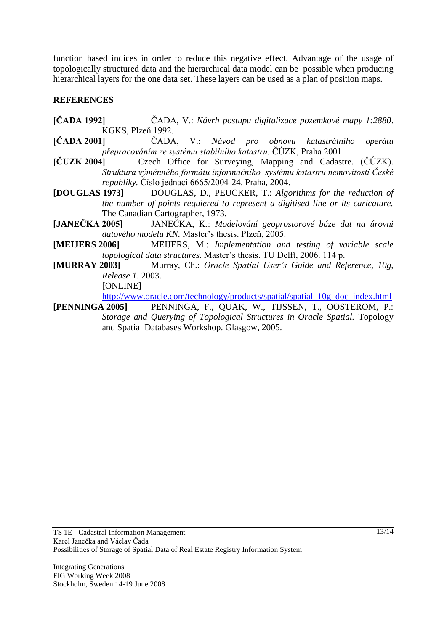function based indices in order to reduce this negative effect. Advantage of the usage of topologically structured data and the hierarchical data model can be possible when producing hierarchical layers for the one data set. These layers can be used as a plan of position maps.

### **REFERENCES**

- **[ČADA 1992]** ČADA, V.: *Návrh postupu digitalizace pozemkové mapy 1:2880*. KGKS, Plzeň 1992.
- **[ČADA 2001]** ČADA, V.: *Návod pro obnovu katastrálního operátu přepracováním ze systému stabilního katastru.* ČÚZK, Praha 2001.
- Czech Office for Surveying, Mapping and Cadastre. (ČÚZK). *Struktura výměnného formátu informačního systému katastru nemovitostí České republiky.* Číslo jednací 6665/2004-24. Praha, 2004.
- **[DOUGLAS 1973]** DOUGLAS, D., PEUCKER, T.: *Algorithms for the reduction of the number of points requiered to represent a digitised line or its caricature.* The Canadian Cartographer, 1973.
- **[JANEČKA 2005]** JANEČKA, K.: *Modelování geoprostorové báze dat na úrovni datového modelu KN.* Master's thesis. Plzeň, 2005.
- **[MEIJERS 2006]** MEIJERS, M.: *Implementation and testing of variable scale topological data structures.* Master's thesis. TU Delft, 2006. 114 p.
- **[MURRAY 2003]** Murray, Ch.: *Oracle Spatial User's Guide and Reference, 10g, Release 1*. 2003. [ONLINE]

[http://www.oracle.com/technology/products/spatial/spatial\\_10g\\_doc\\_index.html](http://www.oracle.com/technology/products/spatial/spatial_10g_doc_index.html)

**[PENNINGA 2005]** PENNINGA, F., QUAK, W., TIJSSEN, T., OOSTEROM, P.: *Storage and Querying of Topological Structures in Oracle Spatial.* Topology and Spatial Databases Workshop. Glasgow, 2005.